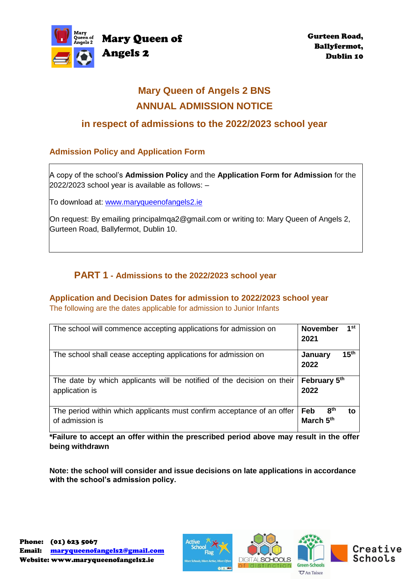

# **Mary Queen of Angels 2 BNS ANNUAL ADMISSION NOTICE**

## **in respect of admissions to the 2022/2023 school year**

## **Admission Policy and Application Form**

A copy of the school's **Admission Policy** and the **Application Form for Admission** for the 2022/2023 school year is available as follows: –

To download at: www.maryqueenofangels2.ie

On request: By emailing principalmqa2@gmail.com or writing to: Mary Queen of Angels 2, Gurteen Road, Ballyfermot, Dublin 10.

## **PART 1 - Admissions to the 2022/2023 school year**

#### **Application and Decision Dates for admission to 2022/2023 school year** The following are the dates applicable for admission to Junior Infants

| The school will commence accepting applications for admission on       | 1st<br><b>November</b><br>2021      |
|------------------------------------------------------------------------|-------------------------------------|
| The school shall cease accepting applications for admission on         | 15 <sup>th</sup><br>January<br>2022 |
| The date by which applicants will be notified of the decision on their | February 5th                        |
| application is                                                         | 2022                                |

**\*Failure to accept an offer within the prescribed period above may result in the offer being withdrawn**

**Note: the school will consider and issue decisions on late applications in accordance with the school's admission policy.**

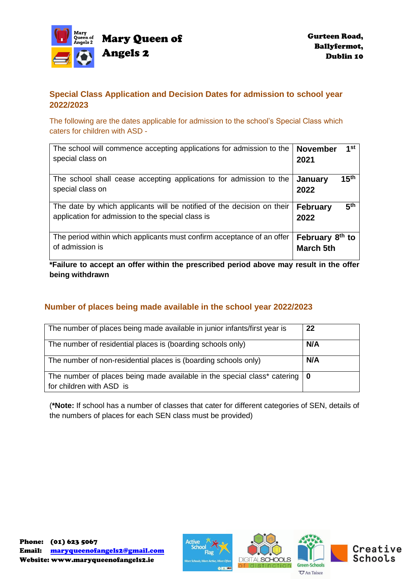

## **Special Class Application and Decision Dates for admission to school year 2022/2023**

The following are the dates applicable for admission to the school's Special Class which caters for children with ASD -

| The school will commence accepting applications for admission to the<br>special class on                                    | <b>November</b><br>2021                         | 1st              |
|-----------------------------------------------------------------------------------------------------------------------------|-------------------------------------------------|------------------|
| The school shall cease accepting applications for admission to the<br>special class on                                      | January<br>2022                                 | 15 <sup>th</sup> |
| The date by which applicants will be notified of the decision on their<br>application for admission to the special class is | <b>February</b><br>2022                         | 5 <sup>th</sup>  |
| The period within which applicants must confirm acceptance of an offer<br>of admission is                                   | February 8 <sup>th</sup> to<br><b>March 5th</b> |                  |

**\*Failure to accept an offer within the prescribed period above may result in the offer being withdrawn**

## **Number of places being made available in the school year 2022/2023**

| The number of places being made available in junior infants/first year is                                              | 22  |
|------------------------------------------------------------------------------------------------------------------------|-----|
| The number of residential places is (boarding schools only)                                                            | N/A |
| The number of non-residential places is (boarding schools only)                                                        | N/A |
| The number of places being made available in the special class* catering $\vert 0 \rangle$<br>for children with ASD is |     |

(**\*Note:** If school has a number of classes that cater for different categories of SEN, details of the numbers of places for each SEN class must be provided)